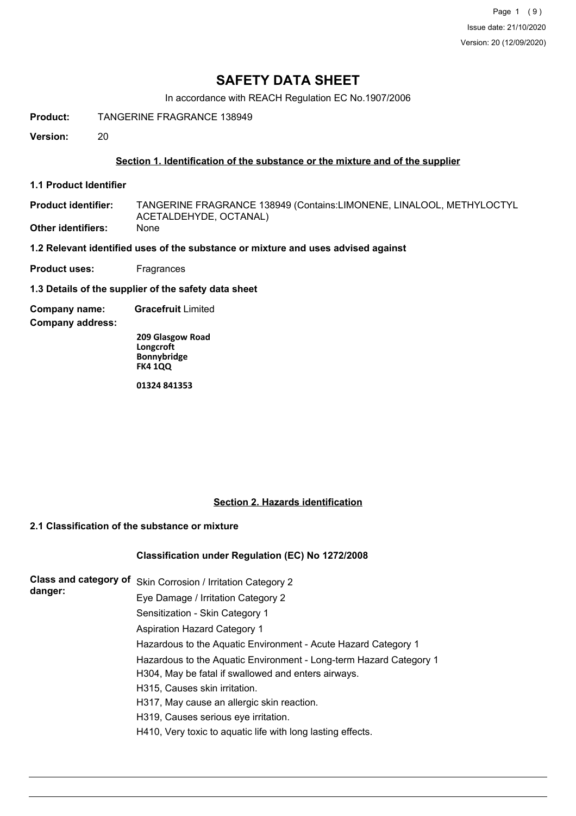Page 1 (9) Issue date: 21/10/2020 Version: 20 (12/09/2020)

# **SAFETY DATA SHEET**

In accordance with REACH Regulation EC No.1907/2006

**Product:** TANGERINE FRAGRANCE 138949

**Version:** 20

### **Section 1. Identification of the substance or the mixture and of the supplier**

**1.1 Product Identifier**

TANGERINE FRAGRANCE 138949 (Contains:LIMONENE, LINALOOL, METHYLOCTYL ACETALDEHYDE, OCTANAL) **Product identifier: Other identifiers:** 

**1.2 Relevant identified uses of the substance or mixture and uses advised against**

**Product uses:** Fragrances

**1.3 Details of the supplier of the safety data sheet**

**Company name: Gracefruit** Limited

**Company address:**

**209 Glasgow Road Longcroft Bonnybridge FK4 1QQ**

**01324 841353**

#### **Section 2. Hazards identification**

# **2.1 Classification of the substance or mixture**

# **Classification under Regulation (EC) No 1272/2008**

| Class and category of | Skin Corrosion / Irritation Category 2                             |
|-----------------------|--------------------------------------------------------------------|
| danger:               | Eye Damage / Irritation Category 2                                 |
|                       | Sensitization - Skin Category 1                                    |
|                       | <b>Aspiration Hazard Category 1</b>                                |
|                       | Hazardous to the Aquatic Environment - Acute Hazard Category 1     |
|                       | Hazardous to the Aquatic Environment - Long-term Hazard Category 1 |
|                       | H304, May be fatal if swallowed and enters airways.                |
|                       | H315, Causes skin irritation.                                      |
|                       | H317, May cause an allergic skin reaction.                         |
|                       | H319, Causes serious eye irritation.                               |
|                       | H410, Very toxic to aquatic life with long lasting effects.        |
|                       |                                                                    |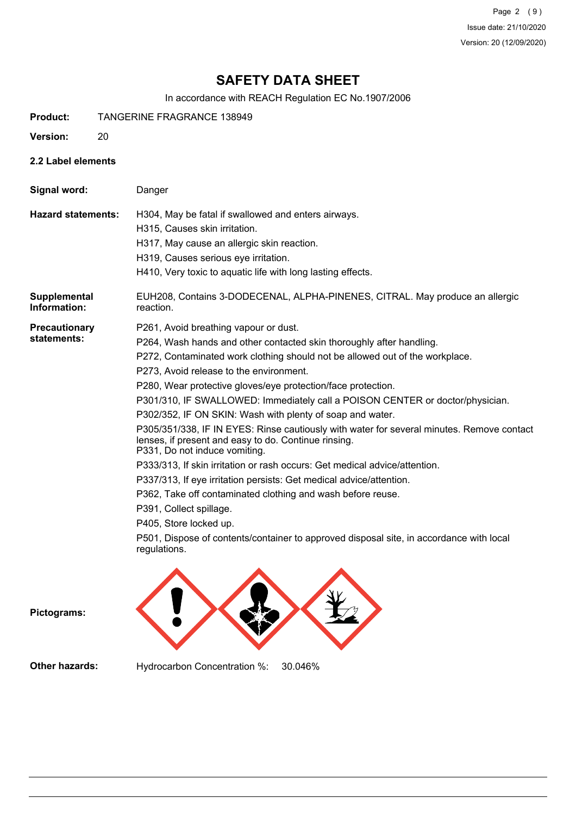Page 2 (9) Issue date: 21/10/2020 Version: 20 (12/09/2020)

# **SAFETY DATA SHEET**

In accordance with REACH Regulation EC No.1907/2006

- **Product:** TANGERINE FRAGRANCE 138949
- **Version:** 20
- **2.2 Label elements**

| Signal word:                        | Danger                                                                                                                                                                                                                                                                                                                                                                                                                                                                                                                                                                                                                                                                                                                                                                                                                                                                                                                                                                                                                           |
|-------------------------------------|----------------------------------------------------------------------------------------------------------------------------------------------------------------------------------------------------------------------------------------------------------------------------------------------------------------------------------------------------------------------------------------------------------------------------------------------------------------------------------------------------------------------------------------------------------------------------------------------------------------------------------------------------------------------------------------------------------------------------------------------------------------------------------------------------------------------------------------------------------------------------------------------------------------------------------------------------------------------------------------------------------------------------------|
| <b>Hazard statements:</b>           | H304, May be fatal if swallowed and enters airways.<br>H315, Causes skin irritation.<br>H317, May cause an allergic skin reaction.<br>H319, Causes serious eye irritation.<br>H410, Very toxic to aquatic life with long lasting effects.                                                                                                                                                                                                                                                                                                                                                                                                                                                                                                                                                                                                                                                                                                                                                                                        |
| Supplemental<br>Information:        | EUH208, Contains 3-DODECENAL, ALPHA-PINENES, CITRAL. May produce an allergic<br>reaction.                                                                                                                                                                                                                                                                                                                                                                                                                                                                                                                                                                                                                                                                                                                                                                                                                                                                                                                                        |
| <b>Precautionary</b><br>statements: | P261, Avoid breathing vapour or dust.<br>P264, Wash hands and other contacted skin thoroughly after handling.<br>P272, Contaminated work clothing should not be allowed out of the workplace.<br>P273, Avoid release to the environment.<br>P280, Wear protective gloves/eye protection/face protection.<br>P301/310, IF SWALLOWED: Immediately call a POISON CENTER or doctor/physician.<br>P302/352, IF ON SKIN: Wash with plenty of soap and water.<br>P305/351/338, IF IN EYES: Rinse cautiously with water for several minutes. Remove contact<br>lenses, if present and easy to do. Continue rinsing.<br>P331, Do not induce vomiting.<br>P333/313, If skin irritation or rash occurs: Get medical advice/attention.<br>P337/313, If eye irritation persists: Get medical advice/attention.<br>P362, Take off contaminated clothing and wash before reuse.<br>P391, Collect spillage.<br>P405, Store locked up.<br>P501, Dispose of contents/container to approved disposal site, in accordance with local<br>regulations. |
| Pictograms:                         |                                                                                                                                                                                                                                                                                                                                                                                                                                                                                                                                                                                                                                                                                                                                                                                                                                                                                                                                                                                                                                  |

**Other hazards:** Hydrocarbon Concentration %: 30.046%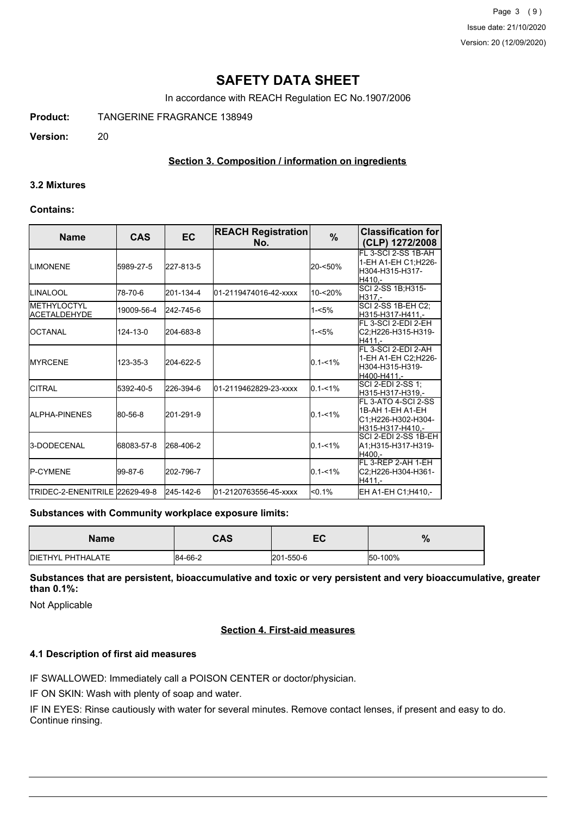Page 3 (9) Issue date: 21/10/2020 Version: 20 (12/09/2020)

# **SAFETY DATA SHEET**

In accordance with REACH Regulation EC No.1907/2006

**Product:** TANGERINE FRAGRANCE 138949

**Version:** 20

## **Section 3. Composition / information on ingredients**

#### **3.2 Mixtures**

#### **Contains:**

| <b>Name</b>                                | <b>CAS</b> | <b>EC</b> | <b>REACH Registration</b><br>No. | $\frac{9}{6}$ | <b>Classification for</b><br>(CLP) 1272/2008                                        |
|--------------------------------------------|------------|-----------|----------------------------------|---------------|-------------------------------------------------------------------------------------|
| <b>ILIMONENE</b>                           | 5989-27-5  | 227-813-5 |                                  | 20-<50%       | FL 3-SCI 2-SS 1B-AH<br>1-EH A1-EH C1;H226-<br>H304-H315-H317-<br>H410.-             |
| <b>ILINALOOL</b>                           | 78-70-6    | 201-134-4 | 01-2119474016-42-xxxx            | $10 - 20%$    | SCI 2-SS 1B; H315-<br>H317.-                                                        |
| <b>IMETHYLOCTYL</b><br><b>ACETALDEHYDE</b> | 19009-56-4 | 242-745-6 |                                  | $1 - 5%$      | SCI 2-SS 1B-EH C2;<br>H315-H317-H411.-                                              |
| IOCTANAL                                   | 124-13-0   | 204-683-8 |                                  | $1 - 5%$      | FL 3-SCI 2-EDI 2-EH<br>C2;H226-H315-H319-<br>H411.-                                 |
| <b>IMYRCENE</b>                            | 123-35-3   | 204-622-5 |                                  | $0.1 - 1\%$   | FL 3-SCI 2-EDI 2-AH<br>1-EH A1-EH C2:H226-<br>H304-H315-H319-<br>H400-H411 -        |
| <b>CITRAL</b>                              | 5392-40-5  | 226-394-6 | 01-2119462829-23-xxxx            | $0.1 - 1\%$   | SCI 2-EDI 2-SS 1;<br>H315-H317-H319.-                                               |
| <b>JALPHA-PINENES</b>                      | 80-56-8    | 201-291-9 |                                  | $0.1 - 1\%$   | IFL 3-ATO 4-SCI 2-SS<br> 1B-AH 1-EH A1-EH<br>C1;H226-H302-H304-<br>H315-H317-H410.- |
| <b>3-DODECENAL</b>                         | 68083-57-8 | 268-406-2 |                                  | $0.1 - 1\%$   | SCI 2-EDI 2-SS 1B-EH<br>A1;H315-H317-H319-<br>H400.-                                |
| <b>IP-CYMENE</b>                           | l99-87-6   | 202-796-7 |                                  | $0.1 - 1\%$   | FL 3-REP 2-AH 1-EH<br>C2;H226-H304-H361-<br>H411.-                                  |
| ITRIDEC-2-ENENITRILE 22629-49-8            |            | 245-142-6 | 01-2120763556-45-xxxx            | < 0.1%        | EH A1-EH C1;H410,-                                                                  |

#### **Substances with Community workplace exposure limits:**

| <b>Name</b>       | <b>CAS</b> | -0<br>ᄄ   | 0<br>70 |
|-------------------|------------|-----------|---------|
| DIETHYL PHTHALATE | 84-66-2    | 201-550-6 | 50-100% |

**Substances that are persistent, bioaccumulative and toxic or very persistent and very bioaccumulative, greater than 0.1%:**

Not Applicable

#### **Section 4. First-aid measures**

#### **4.1 Description of first aid measures**

IF SWALLOWED: Immediately call a POISON CENTER or doctor/physician.

IF ON SKIN: Wash with plenty of soap and water.

IF IN EYES: Rinse cautiously with water for several minutes. Remove contact lenses, if present and easy to do. Continue rinsing.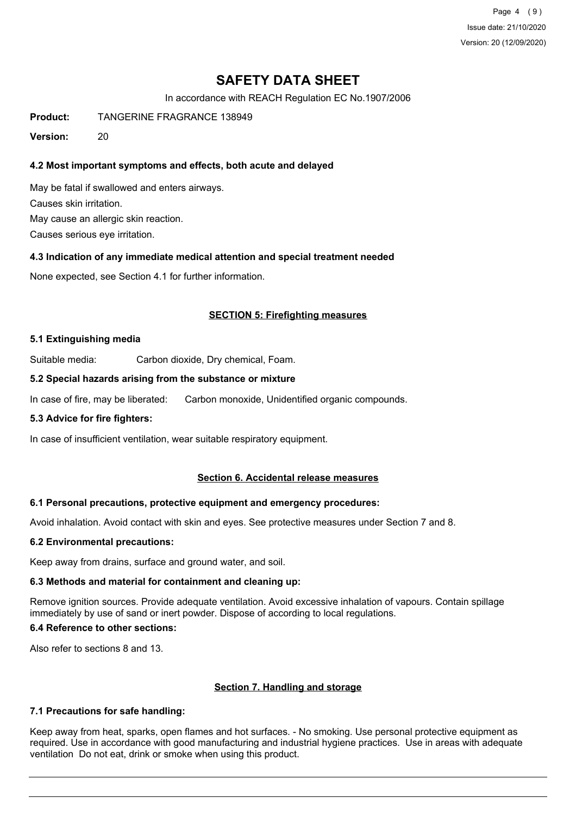Page 4 (9) Issue date: 21/10/2020 Version: 20 (12/09/2020)

# **SAFETY DATA SHEET**

In accordance with REACH Regulation EC No.1907/2006

**Product:** TANGERINE FRAGRANCE 138949

**Version:** 20

## **4.2 Most important symptoms and effects, both acute and delayed**

May be fatal if swallowed and enters airways. Causes skin irritation. May cause an allergic skin reaction. Causes serious eye irritation.

#### **4.3 Indication of any immediate medical attention and special treatment needed**

None expected, see Section 4.1 for further information.

### **SECTION 5: Firefighting measures**

#### **5.1 Extinguishing media**

Suitable media: Carbon dioxide, Dry chemical, Foam.

#### **5.2 Special hazards arising from the substance or mixture**

In case of fire, may be liberated: Carbon monoxide, Unidentified organic compounds.

#### **5.3 Advice for fire fighters:**

In case of insufficient ventilation, wear suitable respiratory equipment.

#### **Section 6. Accidental release measures**

#### **6.1 Personal precautions, protective equipment and emergency procedures:**

Avoid inhalation. Avoid contact with skin and eyes. See protective measures under Section 7 and 8.

#### **6.2 Environmental precautions:**

Keep away from drains, surface and ground water, and soil.

# **6.3 Methods and material for containment and cleaning up:**

Remove ignition sources. Provide adequate ventilation. Avoid excessive inhalation of vapours. Contain spillage immediately by use of sand or inert powder. Dispose of according to local regulations.

# **6.4 Reference to other sections:**

Also refer to sections 8 and 13.

# **Section 7. Handling and storage**

# **7.1 Precautions for safe handling:**

Keep away from heat, sparks, open flames and hot surfaces. - No smoking. Use personal protective equipment as required. Use in accordance with good manufacturing and industrial hygiene practices. Use in areas with adequate ventilation Do not eat, drink or smoke when using this product.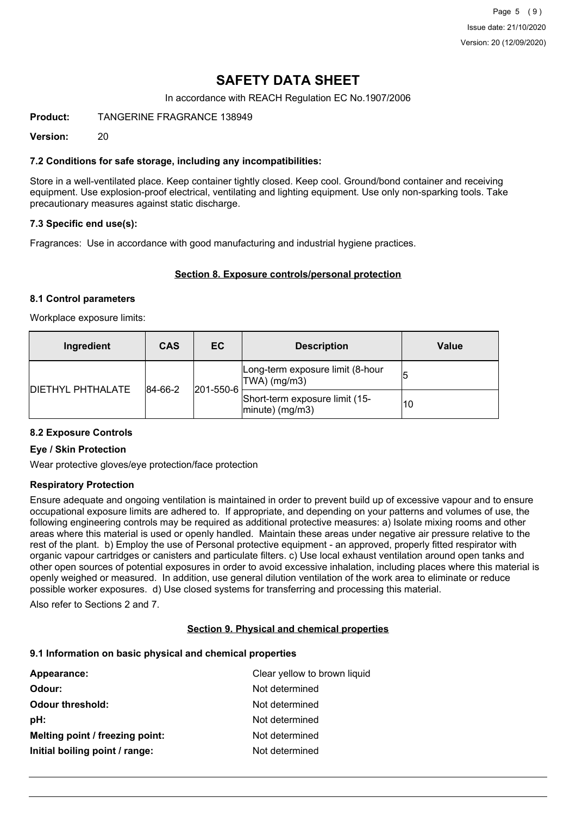Page 5 (9) Issue date: 21/10/2020 Version: 20 (12/09/2020)

# **SAFETY DATA SHEET**

In accordance with REACH Regulation EC No.1907/2006

**Product:** TANGERINE FRAGRANCE 138949

**Version:** 20

### **7.2 Conditions for safe storage, including any incompatibilities:**

Store in a well-ventilated place. Keep container tightly closed. Keep cool. Ground/bond container and receiving equipment. Use explosion-proof electrical, ventilating and lighting equipment. Use only non-sparking tools. Take precautionary measures against static discharge.

### **7.3 Specific end use(s):**

Fragrances: Use in accordance with good manufacturing and industrial hygiene practices.

#### **Section 8. Exposure controls/personal protection**

#### **8.1 Control parameters**

Workplace exposure limits:

| Ingredient                          | <b>CAS</b> | EC                                                  | <b>Description</b>                                   | Value |
|-------------------------------------|------------|-----------------------------------------------------|------------------------------------------------------|-------|
| 84-66-2<br><b>DIETHYL PHTHALATE</b> |            | Long-term exposure limit (8-hour<br>$ TWA $ (mg/m3) |                                                      |       |
|                                     |            | 201-550-6                                           | Short-term exposure limit (15-<br>$ minute)$ (mg/m3) | 10    |

#### **8.2 Exposure Controls**

#### **Eye / Skin Protection**

Wear protective gloves/eye protection/face protection

#### **Respiratory Protection**

Ensure adequate and ongoing ventilation is maintained in order to prevent build up of excessive vapour and to ensure occupational exposure limits are adhered to. If appropriate, and depending on your patterns and volumes of use, the following engineering controls may be required as additional protective measures: a) Isolate mixing rooms and other areas where this material is used or openly handled. Maintain these areas under negative air pressure relative to the rest of the plant. b) Employ the use of Personal protective equipment - an approved, properly fitted respirator with organic vapour cartridges or canisters and particulate filters. c) Use local exhaust ventilation around open tanks and other open sources of potential exposures in order to avoid excessive inhalation, including places where this material is openly weighed or measured. In addition, use general dilution ventilation of the work area to eliminate or reduce possible worker exposures. d) Use closed systems for transferring and processing this material.

Also refer to Sections 2 and 7.

#### **Section 9. Physical and chemical properties**

#### **9.1 Information on basic physical and chemical properties**

| Appearance:                     | Clear yellow to brown liquid |
|---------------------------------|------------------------------|
| Odour:                          | Not determined               |
| <b>Odour threshold:</b>         | Not determined               |
| pH:                             | Not determined               |
| Melting point / freezing point: | Not determined               |
| Initial boiling point / range:  | Not determined               |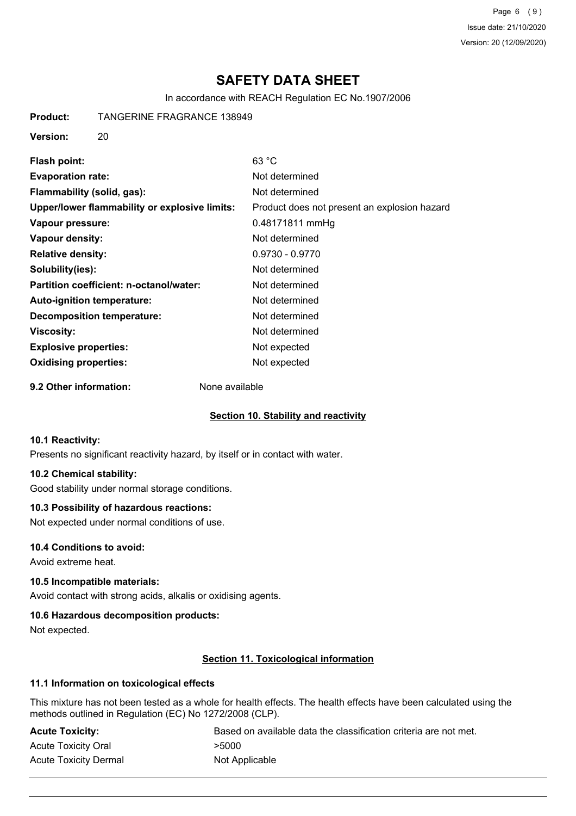Page 6 (9) Issue date: 21/10/2020 Version: 20 (12/09/2020)

# **SAFETY DATA SHEET**

In accordance with REACH Regulation EC No.1907/2006

**Product:** TANGERINE FRAGRANCE 138949

**Version:** 20

| Flash point:                                  | 63 °C                                        |
|-----------------------------------------------|----------------------------------------------|
| <b>Evaporation rate:</b>                      | Not determined                               |
| Flammability (solid, gas):                    | Not determined                               |
| Upper/lower flammability or explosive limits: | Product does not present an explosion hazard |
| Vapour pressure:                              | 0.48171811 mmHg                              |
| Vapour density:                               | Not determined                               |
| <b>Relative density:</b>                      | $0.9730 - 0.9770$                            |
| Solubility(ies):                              | Not determined                               |
| Partition coefficient: n-octanol/water:       | Not determined                               |
| <b>Auto-ignition temperature:</b>             | Not determined                               |
| <b>Decomposition temperature:</b>             | Not determined                               |
| Viscosity:                                    | Not determined                               |
| <b>Explosive properties:</b>                  | Not expected                                 |
| <b>Oxidising properties:</b>                  | Not expected                                 |

**9.2 Other information:** None available

# **Section 10. Stability and reactivity**

#### **10.1 Reactivity:**

Presents no significant reactivity hazard, by itself or in contact with water.

# **10.2 Chemical stability:**

Good stability under normal storage conditions.

# **10.3 Possibility of hazardous reactions:**

Not expected under normal conditions of use.

#### **10.4 Conditions to avoid:**

Avoid extreme heat.

#### **10.5 Incompatible materials:**

Avoid contact with strong acids, alkalis or oxidising agents.

#### **10.6 Hazardous decomposition products:**

Not expected.

# **Section 11. Toxicological information**

# **11.1 Information on toxicological effects**

This mixture has not been tested as a whole for health effects. The health effects have been calculated using the methods outlined in Regulation (EC) No 1272/2008 (CLP).

| <b>Acute Toxicity:</b>       | Based on available data the classification criteria are not met. |
|------------------------------|------------------------------------------------------------------|
| <b>Acute Toxicity Oral</b>   | >5000                                                            |
| <b>Acute Toxicity Dermal</b> | Not Applicable                                                   |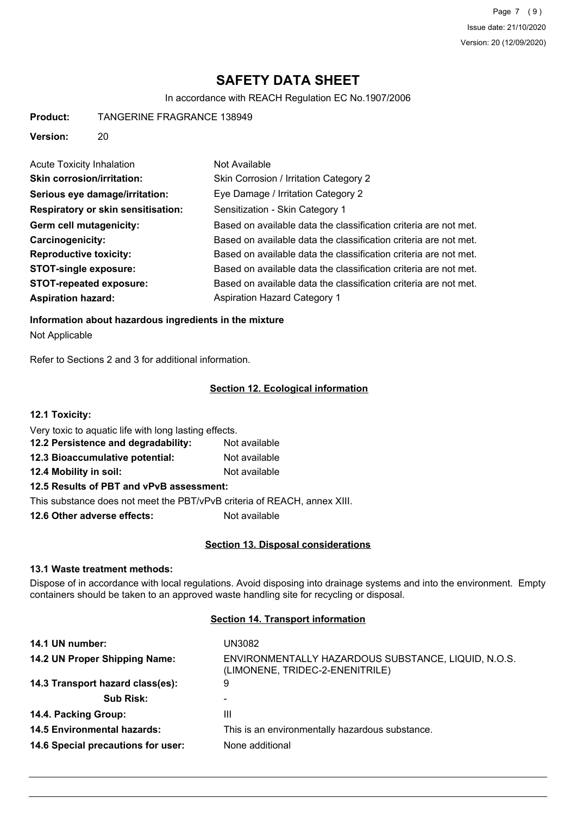Page 7 (9) Issue date: 21/10/2020 Version: 20 (12/09/2020)

# **SAFETY DATA SHEET**

In accordance with REACH Regulation EC No.1907/2006

**Product:** TANGERINE FRAGRANCE 138949

**Version:** 20

| <b>Acute Toxicity Inhalation</b>          | Not Available                                                    |
|-------------------------------------------|------------------------------------------------------------------|
| <b>Skin corrosion/irritation:</b>         | Skin Corrosion / Irritation Category 2                           |
| Serious eye damage/irritation:            | Eye Damage / Irritation Category 2                               |
| <b>Respiratory or skin sensitisation:</b> | Sensitization - Skin Category 1                                  |
| Germ cell mutagenicity:                   | Based on available data the classification criteria are not met. |
| Carcinogenicity:                          | Based on available data the classification criteria are not met. |
| <b>Reproductive toxicity:</b>             | Based on available data the classification criteria are not met. |
| <b>STOT-single exposure:</b>              | Based on available data the classification criteria are not met. |
| <b>STOT-repeated exposure:</b>            | Based on available data the classification criteria are not met. |
| <b>Aspiration hazard:</b>                 | <b>Aspiration Hazard Category 1</b>                              |

**Information about hazardous ingredients in the mixture** Not Applicable

Refer to Sections 2 and 3 for additional information.

### **Section 12. Ecological information**

**12.1 Toxicity:**

| Very toxic to aquatic life with long lasting effects. |               |
|-------------------------------------------------------|---------------|
| 12.2 Persistence and degradability:                   | Not available |
| 12.3 Bioaccumulative potential:                       | Not available |
| 12.4 Mobility in soil:                                | Not available |

# **12.5 Results of PBT and vPvB assessment:**

This substance does not meet the PBT/vPvB criteria of REACH, annex XIII.

**12.6 Other adverse effects:** Not available

#### **Section 13. Disposal considerations**

#### **13.1 Waste treatment methods:**

Dispose of in accordance with local regulations. Avoid disposing into drainage systems and into the environment. Empty containers should be taken to an approved waste handling site for recycling or disposal.

# **Section 14. Transport information**

| 14.1 UN number:                    | UN3082                                                                                 |
|------------------------------------|----------------------------------------------------------------------------------------|
| 14.2 UN Proper Shipping Name:      | ENVIRONMENTALLY HAZARDOUS SUBSTANCE, LIQUID, N.O.S.<br>(LIMONENE, TRIDEC-2-ENENITRILE) |
| 14.3 Transport hazard class(es):   | 9                                                                                      |
| <b>Sub Risk:</b>                   |                                                                                        |
| 14.4. Packing Group:               | Ш                                                                                      |
| <b>14.5 Environmental hazards:</b> | This is an environmentally hazardous substance.                                        |
| 14.6 Special precautions for user: | None additional                                                                        |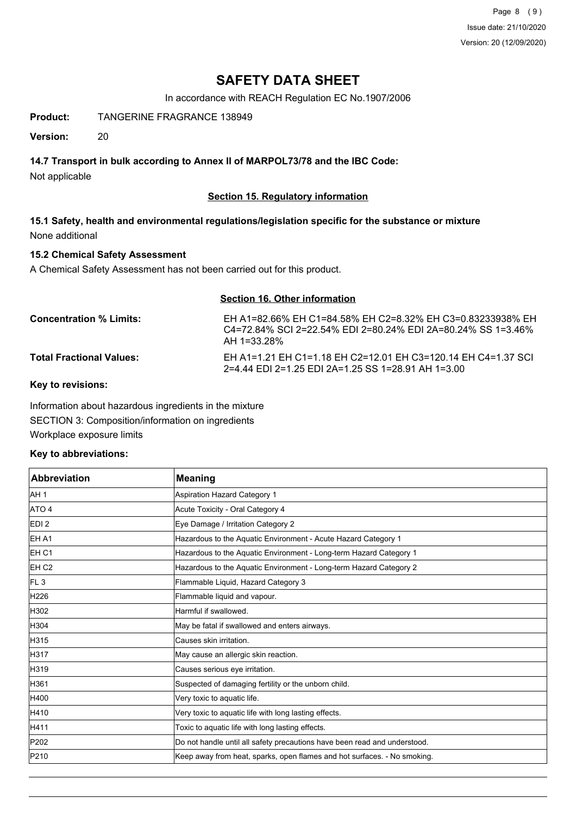Page 8 (9) Issue date: 21/10/2020 Version: 20 (12/09/2020)

# **SAFETY DATA SHEET**

In accordance with REACH Regulation EC No.1907/2006

**Product:** TANGERINE FRAGRANCE 138949

**Version:** 20

## **14.7 Transport in bulk according to Annex II of MARPOL73/78 and the IBC Code:**

Not applicable

## **Section 15. Regulatory information**

**15.1 Safety, health and environmental regulations/legislation specific for the substance or mixture** None additional

### **15.2 Chemical Safety Assessment**

A Chemical Safety Assessment has not been carried out for this product.

# **Section 16. Other information**

| <b>Concentration % Limits:</b>  | EH A1=82.66% EH C1=84.58% EH C2=8.32% EH C3=0.83233938% EH<br>C4=72.84% SCL2=22.54% EDL2=80.24% EDL2A=80.24% SS 1=3.46%<br>AH 1=33.28% |
|---------------------------------|----------------------------------------------------------------------------------------------------------------------------------------|
| <b>Total Fractional Values:</b> | EH A1=1.21 EH C1=1.18 EH C2=12.01 EH C3=120.14 EH C4=1.37 SCI<br>2=4.44 EDI 2=1.25 EDI 2A=1.25 SS 1=28.91 AH 1=3.00                    |

**Key to revisions:**

Information about hazardous ingredients in the mixture SECTION 3: Composition/information on ingredients Workplace exposure limits

#### **Key to abbreviations:**

| <b>Abbreviation</b> | <b>Meaning</b>                                                            |
|---------------------|---------------------------------------------------------------------------|
| AH <sub>1</sub>     | Aspiration Hazard Category 1                                              |
| ATO 4               | Acute Toxicity - Oral Category 4                                          |
| EDI <sub>2</sub>    | Eye Damage / Irritation Category 2                                        |
| EH A1               | Hazardous to the Aquatic Environment - Acute Hazard Category 1            |
| IEH C1              | Hazardous to the Aquatic Environment - Long-term Hazard Category 1        |
| EH <sub>C2</sub>    | Hazardous to the Aquatic Environment - Long-term Hazard Category 2        |
| IFL <sub>3</sub>    | Flammable Liquid, Hazard Category 3                                       |
| H226                | Flammable liquid and vapour.                                              |
| H302                | Harmful if swallowed.                                                     |
| H304                | May be fatal if swallowed and enters airways.                             |
| H315                | lCauses skin irritation.                                                  |
| H317                | May cause an allergic skin reaction.                                      |
| H319                | Causes serious eye irritation.                                            |
| H361                | Suspected of damaging fertility or the unborn child.                      |
| H400                | Very toxic to aquatic life.                                               |
| H410                | Very toxic to aquatic life with long lasting effects.                     |
| H411                | Toxic to aquatic life with long lasting effects.                          |
| P202                | Do not handle until all safety precautions have been read and understood. |
| P210                | Keep away from heat, sparks, open flames and hot surfaces. - No smoking.  |